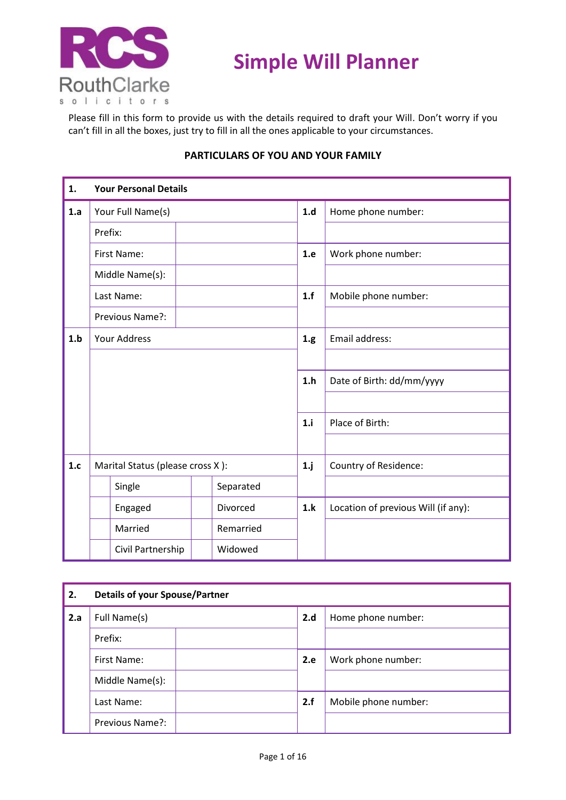

# **Simple Will Planner**

Please fill in this form to provide us with the details required to draft your Will. Don't worry if you can't fill in all the boxes, just try to fill in all the ones applicable to your circumstances.

| 1.  |                     | <b>Your Personal Details</b>     |      |                    |        |                                     |
|-----|---------------------|----------------------------------|------|--------------------|--------|-------------------------------------|
| 1.a | Your Full Name(s)   |                                  | 1.d  | Home phone number: |        |                                     |
|     | Prefix:             |                                  |      |                    |        |                                     |
|     |                     | First Name:                      |      |                    | 1.e    | Work phone number:                  |
|     |                     | Middle Name(s):                  |      |                    |        |                                     |
|     |                     | Last Name:                       |      |                    | 1.f    | Mobile phone number:                |
|     |                     | Previous Name?:                  |      |                    |        |                                     |
| 1.b | <b>Your Address</b> |                                  | 1.g. | Email address:     |        |                                     |
|     |                     |                                  |      |                    |        |                                     |
|     |                     |                                  |      |                    | 1.h    | Date of Birth: dd/mm/yyyy           |
|     |                     |                                  |      |                    |        |                                     |
|     |                     |                                  |      |                    | 1.i    | Place of Birth:                     |
|     |                     |                                  |      |                    |        |                                     |
| 1.c |                     | Marital Status (please cross X): |      |                    | $1$ .j | Country of Residence:               |
|     | Separated<br>Single |                                  |      |                    |        |                                     |
|     |                     | Engaged                          |      | Divorced           | 1.k    | Location of previous Will (if any): |
|     |                     | Married                          |      | Remarried          |        |                                     |
|     |                     | Civil Partnership                |      | Widowed            |        |                                     |

### **PARTICULARS OF YOU AND YOUR FAMILY**

| 2.  | <b>Details of your Spouse/Partner</b> |     |                      |  |  |
|-----|---------------------------------------|-----|----------------------|--|--|
| 2.a | Full Name(s)                          |     | Home phone number:   |  |  |
|     | Prefix:                               |     |                      |  |  |
|     | First Name:<br>Middle Name(s):        |     | Work phone number:   |  |  |
|     |                                       |     |                      |  |  |
|     | Last Name:                            | 2.f | Mobile phone number: |  |  |
|     | Previous Name?:                       |     |                      |  |  |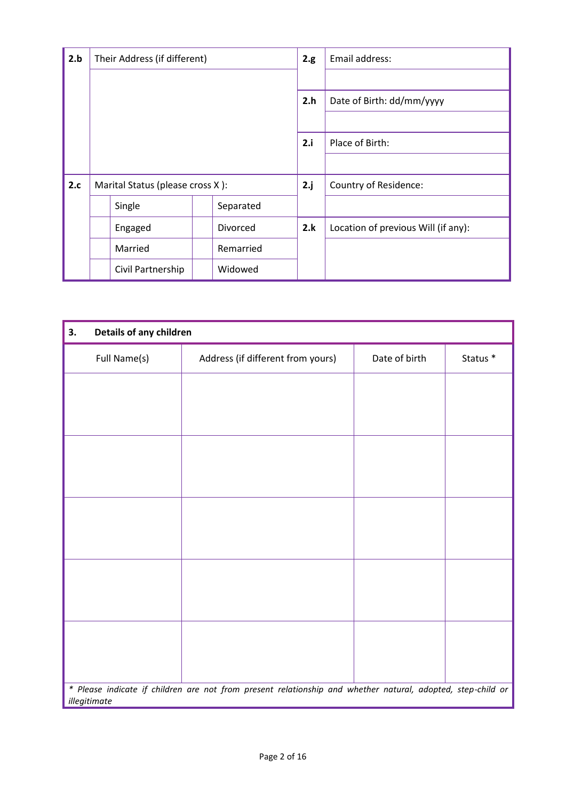| 2.b | Their Address (if different)     |           | 2.g. | Email address:                      |
|-----|----------------------------------|-----------|------|-------------------------------------|
|     |                                  |           |      |                                     |
|     |                                  |           | 2.h  | Date of Birth: dd/mm/yyyy           |
|     |                                  |           |      |                                     |
|     |                                  |           | 2.i  | Place of Birth:                     |
|     |                                  |           |      |                                     |
| 2.c | Marital Status (please cross X): |           | 2.j  | Country of Residence:               |
|     | Single                           | Separated |      |                                     |
|     | Engaged                          | Divorced  | 2.k  | Location of previous Will (if any): |
|     | Married                          | Remarried |      |                                     |
|     | Civil Partnership                | Widowed   |      |                                     |

| 3.           | Details of any children                                                                                     |               |          |  |  |  |  |
|--------------|-------------------------------------------------------------------------------------------------------------|---------------|----------|--|--|--|--|
| Full Name(s) | Address (if different from yours)                                                                           | Date of birth | Status * |  |  |  |  |
|              |                                                                                                             |               |          |  |  |  |  |
|              |                                                                                                             |               |          |  |  |  |  |
|              |                                                                                                             |               |          |  |  |  |  |
|              |                                                                                                             |               |          |  |  |  |  |
|              |                                                                                                             |               |          |  |  |  |  |
|              |                                                                                                             |               |          |  |  |  |  |
|              |                                                                                                             |               |          |  |  |  |  |
|              |                                                                                                             |               |          |  |  |  |  |
|              |                                                                                                             |               |          |  |  |  |  |
|              |                                                                                                             |               |          |  |  |  |  |
|              |                                                                                                             |               |          |  |  |  |  |
|              |                                                                                                             |               |          |  |  |  |  |
|              |                                                                                                             |               |          |  |  |  |  |
|              |                                                                                                             |               |          |  |  |  |  |
|              |                                                                                                             |               |          |  |  |  |  |
| illegitimate | * Please indicate if children are not from present relationship and whether natural, adopted, step-child or |               |          |  |  |  |  |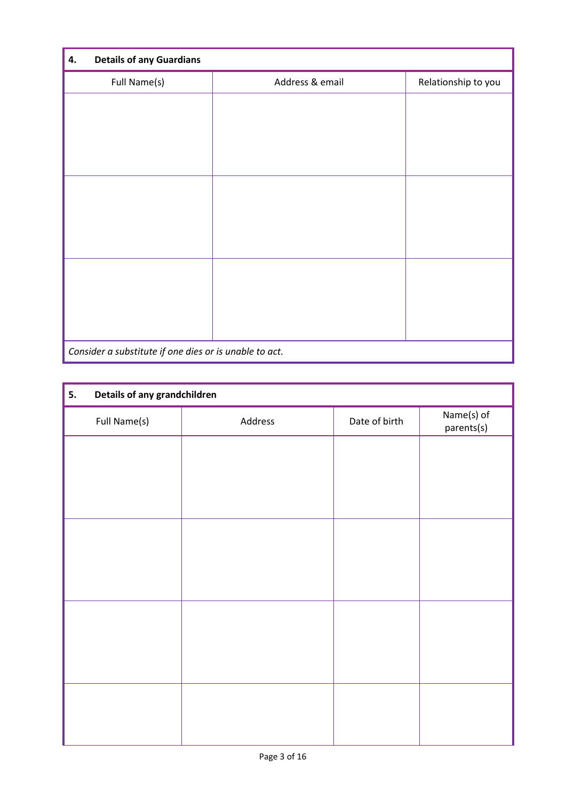| <b>Details of any Guardians</b><br>4.                  |                 |                     |
|--------------------------------------------------------|-----------------|---------------------|
| Full Name(s)                                           | Address & email | Relationship to you |
|                                                        |                 |                     |
|                                                        |                 |                     |
|                                                        |                 |                     |
|                                                        |                 |                     |
|                                                        |                 |                     |
|                                                        |                 |                     |
|                                                        |                 |                     |
|                                                        |                 |                     |
|                                                        |                 |                     |
|                                                        |                 |                     |
|                                                        |                 |                     |
| Consider a substitute if one dies or is unable to act. |                 |                     |

| 5.           | Details of any grandchildren |               |                          |  |  |  |
|--------------|------------------------------|---------------|--------------------------|--|--|--|
| Full Name(s) | Address                      | Date of birth | Name(s) of<br>parents(s) |  |  |  |
|              |                              |               |                          |  |  |  |
|              |                              |               |                          |  |  |  |
|              |                              |               |                          |  |  |  |
|              |                              |               |                          |  |  |  |
|              |                              |               |                          |  |  |  |
|              |                              |               |                          |  |  |  |
|              |                              |               |                          |  |  |  |
|              |                              |               |                          |  |  |  |
|              |                              |               |                          |  |  |  |
|              |                              |               |                          |  |  |  |
|              |                              |               |                          |  |  |  |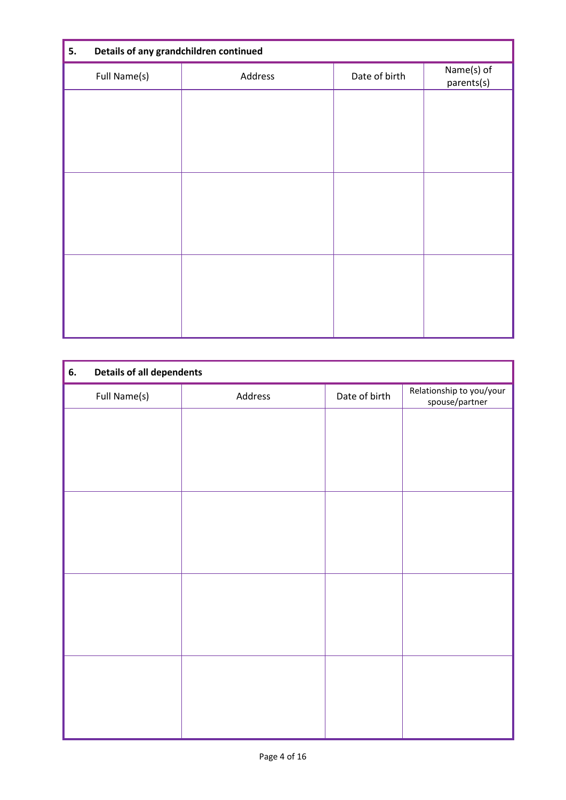| 5.           | Details of any grandchildren continued |               |                          |  |  |
|--------------|----------------------------------------|---------------|--------------------------|--|--|
| Full Name(s) | Address                                | Date of birth | Name(s) of<br>parents(s) |  |  |
|              |                                        |               |                          |  |  |
|              |                                        |               |                          |  |  |
|              |                                        |               |                          |  |  |
|              |                                        |               |                          |  |  |
|              |                                        |               |                          |  |  |
|              |                                        |               |                          |  |  |
|              |                                        |               |                          |  |  |
|              |                                        |               |                          |  |  |
|              |                                        |               |                          |  |  |

| 6.           | <b>Details of all dependents</b> |               |                                            |  |  |  |
|--------------|----------------------------------|---------------|--------------------------------------------|--|--|--|
| Full Name(s) | Address                          | Date of birth | Relationship to you/your<br>spouse/partner |  |  |  |
|              |                                  |               |                                            |  |  |  |
|              |                                  |               |                                            |  |  |  |
|              |                                  |               |                                            |  |  |  |
|              |                                  |               |                                            |  |  |  |
|              |                                  |               |                                            |  |  |  |
|              |                                  |               |                                            |  |  |  |
|              |                                  |               |                                            |  |  |  |
|              |                                  |               |                                            |  |  |  |
|              |                                  |               |                                            |  |  |  |
|              |                                  |               |                                            |  |  |  |
|              |                                  |               |                                            |  |  |  |
|              |                                  |               |                                            |  |  |  |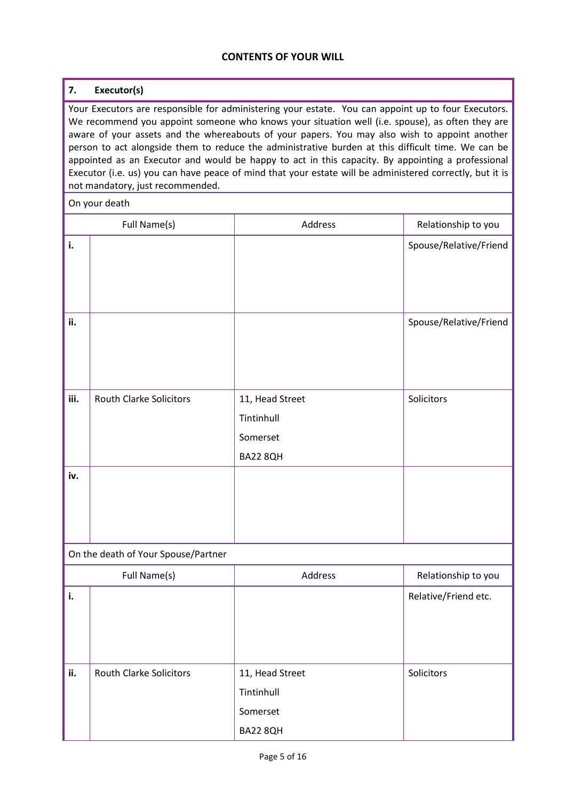#### **CONTENTS OF YOUR WILL**

# **7. Executor(s)**

Your Executors are responsible for administering your estate. You can appoint up to four Executors. We recommend you appoint someone who knows your situation well (i.e. spouse), as often they are aware of your assets and the whereabouts of your papers. You may also wish to appoint another person to act alongside them to reduce the administrative burden at this difficult time. We can be appointed as an Executor and would be happy to act in this capacity. By appointing a professional Executor (i.e. us) you can have peace of mind that your estate will be administered correctly, but it is not mandatory, just recommended.

On your death

|      | Full Name(s)                        | Address                                               | Relationship to you    |
|------|-------------------------------------|-------------------------------------------------------|------------------------|
| i.   |                                     |                                                       | Spouse/Relative/Friend |
| ii.  |                                     |                                                       | Spouse/Relative/Friend |
| iii. | <b>Routh Clarke Solicitors</b>      | 11, Head Street<br>Tintinhull<br>Somerset<br>BA22 8QH | Solicitors             |
| iv.  |                                     |                                                       |                        |
|      | On the death of Your Spouse/Partner |                                                       |                        |
|      | Full Name(s)                        | Address                                               | Relationship to you    |
| i.   |                                     |                                                       | Relative/Friend etc.   |
| ii.  | <b>Routh Clarke Solicitors</b>      | 11, Head Street<br>Tintinhull<br>Somerset<br>BA22 8QH | Solicitors             |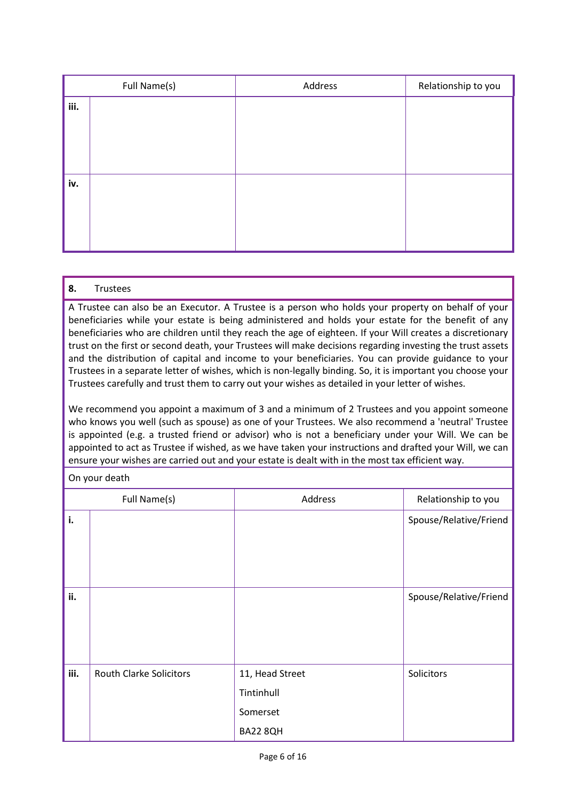|      | Full Name(s) | Address | Relationship to you |
|------|--------------|---------|---------------------|
| iii. |              |         |                     |
|      |              |         |                     |
|      |              |         |                     |
|      |              |         |                     |
|      |              |         |                     |
| iv.  |              |         |                     |
|      |              |         |                     |
|      |              |         |                     |
|      |              |         |                     |
|      |              |         |                     |

#### **8.** Trustees

A Trustee can also be an Executor. A Trustee is a person who holds your property on behalf of your beneficiaries while your estate is being administered and holds your estate for the benefit of any beneficiaries who are children until they reach the age of eighteen. If your Will creates a discretionary trust on the first or second death, your Trustees will make decisions regarding investing the trust assets and the distribution of capital and income to your beneficiaries. You can provide guidance to your Trustees in a separate letter of wishes, which is non-legally binding. So, it is important you choose your Trustees carefully and trust them to carry out your wishes as detailed in your letter of wishes.

We recommend you appoint a maximum of 3 and a minimum of 2 Trustees and you appoint someone who knows you well (such as spouse) as one of your Trustees. We also recommend a 'neutral' Trustee is appointed (e.g. a trusted friend or advisor) who is not a beneficiary under your Will. We can be appointed to act as Trustee if wished, as we have taken your instructions and drafted your Will, we can ensure your wishes are carried out and your estate is dealt with in the most tax efficient way.

#### On your death

|      | Full Name(s)                   | Address                                               | Relationship to you    |
|------|--------------------------------|-------------------------------------------------------|------------------------|
| i.   |                                |                                                       | Spouse/Relative/Friend |
|      |                                |                                                       |                        |
| ii.  |                                |                                                       | Spouse/Relative/Friend |
| iii. | <b>Routh Clarke Solicitors</b> | 11, Head Street<br>Tintinhull<br>Somerset<br>BA22 8QH | Solicitors             |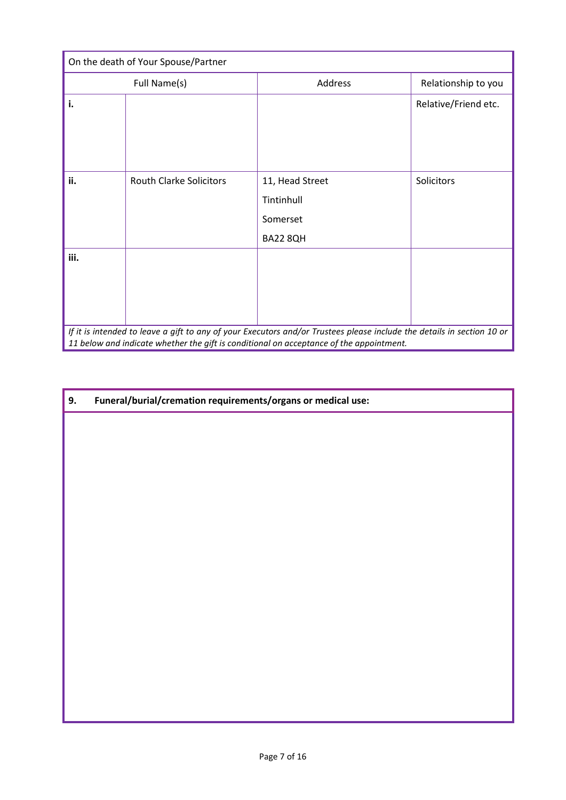| On the death of Your Spouse/Partner |                                |                                                                                                                                                                                                                   |                      |  |
|-------------------------------------|--------------------------------|-------------------------------------------------------------------------------------------------------------------------------------------------------------------------------------------------------------------|----------------------|--|
|                                     | Full Name(s)                   | Address                                                                                                                                                                                                           | Relationship to you  |  |
| i.                                  |                                |                                                                                                                                                                                                                   | Relative/Friend etc. |  |
| ii.                                 | <b>Routh Clarke Solicitors</b> | 11, Head Street<br>Tintinhull<br>Somerset<br><b>BA22 8QH</b>                                                                                                                                                      | Solicitors           |  |
| iii.                                |                                |                                                                                                                                                                                                                   |                      |  |
|                                     |                                | If it is intended to leave a gift to any of your Executors and/or Trustees please include the details in section 10 or<br>11 below and indicate whether the gift is conditional on acceptance of the appointment. |                      |  |

| 9. | Funeral/burial/cremation requirements/organs or medical use: |  |
|----|--------------------------------------------------------------|--|
|    |                                                              |  |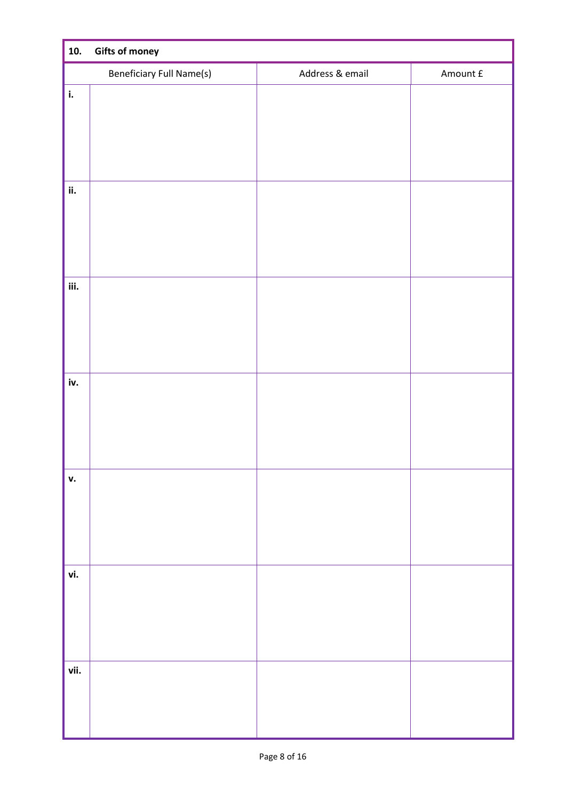| 10.  | <b>Gifts of money</b>           |                 |          |  |  |
|------|---------------------------------|-----------------|----------|--|--|
|      | <b>Beneficiary Full Name(s)</b> | Address & email | Amount £ |  |  |
| i.   |                                 |                 |          |  |  |
|      |                                 |                 |          |  |  |
|      |                                 |                 |          |  |  |
|      |                                 |                 |          |  |  |
|      |                                 |                 |          |  |  |
| ii.  |                                 |                 |          |  |  |
|      |                                 |                 |          |  |  |
|      |                                 |                 |          |  |  |
|      |                                 |                 |          |  |  |
| iii. |                                 |                 |          |  |  |
|      |                                 |                 |          |  |  |
|      |                                 |                 |          |  |  |
|      |                                 |                 |          |  |  |
|      |                                 |                 |          |  |  |
| iv.  |                                 |                 |          |  |  |
|      |                                 |                 |          |  |  |
|      |                                 |                 |          |  |  |
|      |                                 |                 |          |  |  |
| v.   |                                 |                 |          |  |  |
|      |                                 |                 |          |  |  |
|      |                                 |                 |          |  |  |
|      |                                 |                 |          |  |  |
|      |                                 |                 |          |  |  |
| vi.  |                                 |                 |          |  |  |
|      |                                 |                 |          |  |  |
|      |                                 |                 |          |  |  |
|      |                                 |                 |          |  |  |
|      |                                 |                 |          |  |  |
| vii. |                                 |                 |          |  |  |
|      |                                 |                 |          |  |  |
|      |                                 |                 |          |  |  |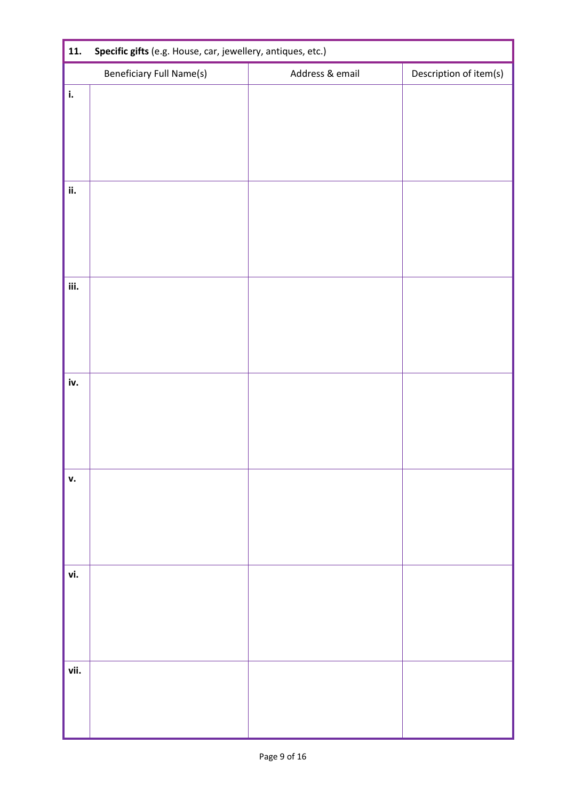| 11.  | Specific gifts (e.g. House, car, jewellery, antiques, etc.) |                 |                        |  |  |  |
|------|-------------------------------------------------------------|-----------------|------------------------|--|--|--|
|      | <b>Beneficiary Full Name(s)</b>                             | Address & email | Description of item(s) |  |  |  |
| i.   |                                                             |                 |                        |  |  |  |
|      |                                                             |                 |                        |  |  |  |
|      |                                                             |                 |                        |  |  |  |
|      |                                                             |                 |                        |  |  |  |
| ii.  |                                                             |                 |                        |  |  |  |
|      |                                                             |                 |                        |  |  |  |
|      |                                                             |                 |                        |  |  |  |
|      |                                                             |                 |                        |  |  |  |
| iii. |                                                             |                 |                        |  |  |  |
|      |                                                             |                 |                        |  |  |  |
|      |                                                             |                 |                        |  |  |  |
|      |                                                             |                 |                        |  |  |  |
| iv.  |                                                             |                 |                        |  |  |  |
|      |                                                             |                 |                        |  |  |  |
|      |                                                             |                 |                        |  |  |  |
|      |                                                             |                 |                        |  |  |  |
| v.   |                                                             |                 |                        |  |  |  |
|      |                                                             |                 |                        |  |  |  |
|      |                                                             |                 |                        |  |  |  |
|      |                                                             |                 |                        |  |  |  |
| vi.  |                                                             |                 |                        |  |  |  |
|      |                                                             |                 |                        |  |  |  |
|      |                                                             |                 |                        |  |  |  |
|      |                                                             |                 |                        |  |  |  |
| vii. |                                                             |                 |                        |  |  |  |
|      |                                                             |                 |                        |  |  |  |
|      |                                                             |                 |                        |  |  |  |
|      |                                                             |                 |                        |  |  |  |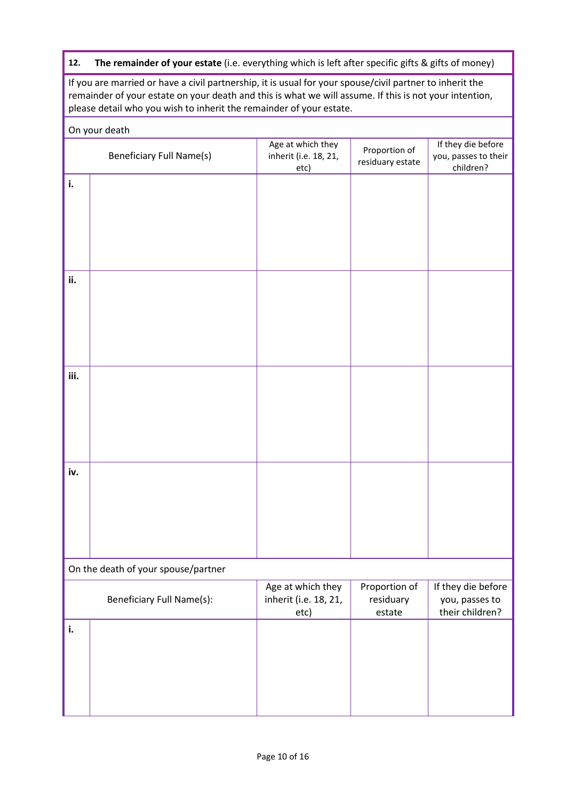# **12. The remainder of your estate** (i.e. everything which is left after specific gifts & gifts of money)

If you are married or have a civil partnership, it is usual for your spouse/civil partner to inherit the remainder of your estate on your death and this is what we will assume. If this is not your intention, please detail who you wish to inherit the remainder of your estate.

|      | On your death                       |                                                    |                                   |                                                         |
|------|-------------------------------------|----------------------------------------------------|-----------------------------------|---------------------------------------------------------|
|      | <b>Beneficiary Full Name(s)</b>     | Age at which they<br>inherit (i.e. 18, 21,<br>etc) | Proportion of<br>residuary estate | If they die before<br>you, passes to their<br>children? |
| i.   |                                     |                                                    |                                   |                                                         |
|      |                                     |                                                    |                                   |                                                         |
|      |                                     |                                                    |                                   |                                                         |
|      |                                     |                                                    |                                   |                                                         |
|      |                                     |                                                    |                                   |                                                         |
| ii.  |                                     |                                                    |                                   |                                                         |
|      |                                     |                                                    |                                   |                                                         |
|      |                                     |                                                    |                                   |                                                         |
|      |                                     |                                                    |                                   |                                                         |
|      |                                     |                                                    |                                   |                                                         |
| iii. |                                     |                                                    |                                   |                                                         |
|      |                                     |                                                    |                                   |                                                         |
|      |                                     |                                                    |                                   |                                                         |
|      |                                     |                                                    |                                   |                                                         |
| iv.  |                                     |                                                    |                                   |                                                         |
|      |                                     |                                                    |                                   |                                                         |
|      |                                     |                                                    |                                   |                                                         |
|      |                                     |                                                    |                                   |                                                         |
|      |                                     |                                                    |                                   |                                                         |
|      | On the death of your spouse/partner |                                                    |                                   |                                                         |
|      |                                     | Age at which they                                  | Proportion of                     | If they die before                                      |
|      | <b>Beneficiary Full Name(s):</b>    | inherit (i.e. 18, 21,<br>etc)                      | residuary<br>estate               | you, passes to<br>their children?                       |
| i.   |                                     |                                                    |                                   |                                                         |
|      |                                     |                                                    |                                   |                                                         |
|      |                                     |                                                    |                                   |                                                         |
|      |                                     |                                                    |                                   |                                                         |
|      |                                     |                                                    |                                   |                                                         |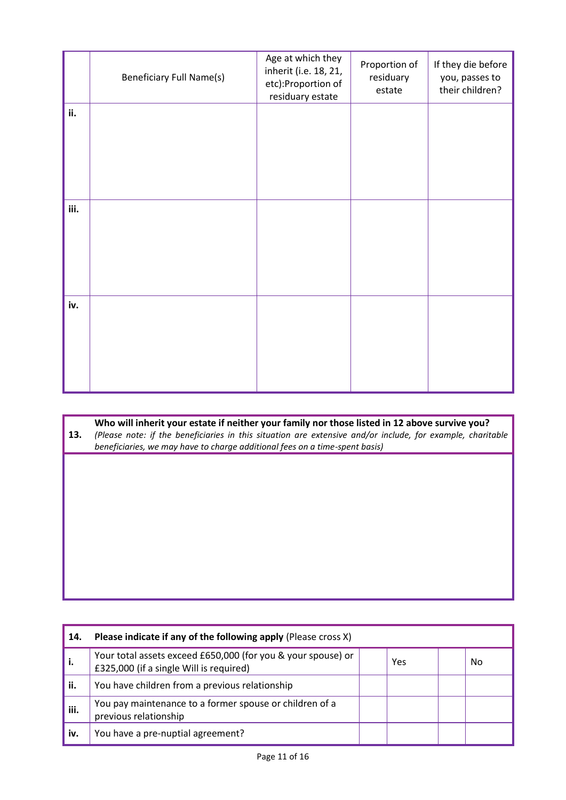|      | <b>Beneficiary Full Name(s)</b> | Age at which they<br>inherit (i.e. 18, 21,<br>etc):Proportion of<br>residuary estate | Proportion of<br>residuary<br>estate | If they die before<br>you, passes to<br>their children? |
|------|---------------------------------|--------------------------------------------------------------------------------------|--------------------------------------|---------------------------------------------------------|
| ii.  |                                 |                                                                                      |                                      |                                                         |
|      |                                 |                                                                                      |                                      |                                                         |
|      |                                 |                                                                                      |                                      |                                                         |
| iii. |                                 |                                                                                      |                                      |                                                         |
|      |                                 |                                                                                      |                                      |                                                         |
|      |                                 |                                                                                      |                                      |                                                         |
| iv.  |                                 |                                                                                      |                                      |                                                         |
|      |                                 |                                                                                      |                                      |                                                         |
|      |                                 |                                                                                      |                                      |                                                         |

# **Who will inherit your estate if neither your family nor those listed in 12 above survive you?**

**13.** *(Please note: if the beneficiaries in this situation are extensive and/or include, for example, charitable beneficiaries, we may have to charge additional fees on a time-spent basis)*

| 14.  | Please indicate if any of the following apply (Please cross X)                                          |     |    |
|------|---------------------------------------------------------------------------------------------------------|-----|----|
| i.   | Your total assets exceed £650,000 (for you & your spouse) or<br>£325,000 (if a single Will is required) | Yes | No |
| ii.  | You have children from a previous relationship                                                          |     |    |
| iii. | You pay maintenance to a former spouse or children of a<br>previous relationship                        |     |    |
| iv.  | You have a pre-nuptial agreement?                                                                       |     |    |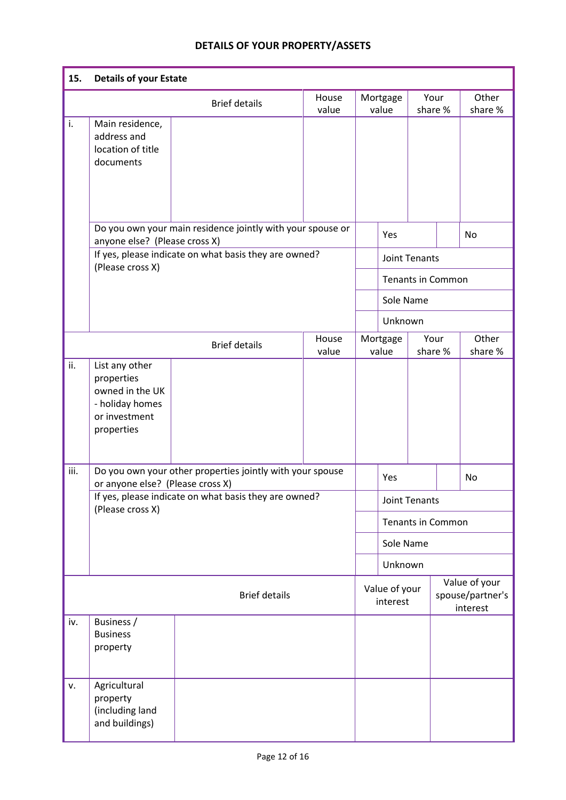# **DETAILS OF YOUR PROPERTY/ASSETS**

| 15.  | <b>Details of your Estate</b>                                                                     |                                                                                                                     |                |                      |                             |  |                          |                                               |
|------|---------------------------------------------------------------------------------------------------|---------------------------------------------------------------------------------------------------------------------|----------------|----------------------|-----------------------------|--|--------------------------|-----------------------------------------------|
|      |                                                                                                   | <b>Brief details</b>                                                                                                | House<br>value |                      | Mortgage<br>value           |  | Your<br>share %          | Other<br>share %                              |
| i.   | Main residence,<br>address and<br>location of title<br>documents                                  |                                                                                                                     |                |                      |                             |  |                          |                                               |
|      | anyone else? (Please cross X)                                                                     | Do you own your main residence jointly with your spouse or<br>If yes, please indicate on what basis they are owned? |                |                      | Yes<br><b>Joint Tenants</b> |  |                          | No                                            |
|      | (Please cross X)                                                                                  |                                                                                                                     |                |                      |                             |  | <b>Tenants in Common</b> |                                               |
|      |                                                                                                   |                                                                                                                     |                |                      | Sole Name                   |  |                          |                                               |
|      |                                                                                                   |                                                                                                                     |                |                      | Unknown                     |  |                          |                                               |
|      |                                                                                                   | <b>Brief details</b>                                                                                                | House<br>value |                      | Mortgage<br>value           |  | Your<br>share %          | Other<br>share %                              |
| ii.  | List any other<br>properties<br>owned in the UK<br>- holiday homes<br>or investment<br>properties |                                                                                                                     |                |                      |                             |  |                          |                                               |
| iii. | or anyone else? (Please cross X)                                                                  | Do you own your other properties jointly with your spouse                                                           |                |                      | Yes                         |  |                          | No                                            |
|      | (Please cross X)                                                                                  | If yes, please indicate on what basis they are owned?                                                               |                | <b>Joint Tenants</b> |                             |  |                          |                                               |
|      |                                                                                                   |                                                                                                                     |                |                      |                             |  | <b>Tenants in Common</b> |                                               |
|      |                                                                                                   |                                                                                                                     |                |                      | Sole Name                   |  |                          |                                               |
|      |                                                                                                   |                                                                                                                     |                |                      | Unknown                     |  |                          |                                               |
|      |                                                                                                   | <b>Brief details</b>                                                                                                |                |                      | Value of your<br>interest   |  |                          | Value of your<br>spouse/partner's<br>interest |
| iv.  | Business /<br><b>Business</b><br>property                                                         |                                                                                                                     |                |                      |                             |  |                          |                                               |
| v.   | Agricultural<br>property<br>(including land<br>and buildings)                                     |                                                                                                                     |                |                      |                             |  |                          |                                               |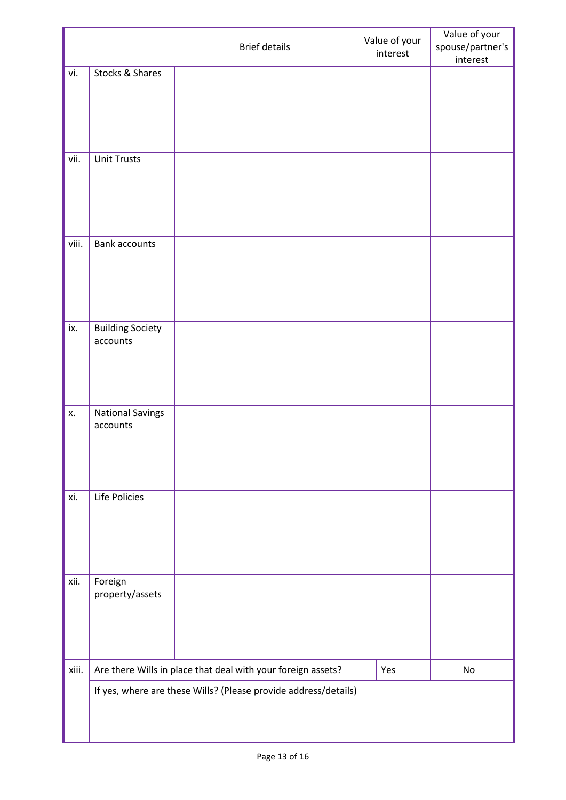|       |                                     | <b>Brief details</b>                                            | Value of your<br>interest | Value of your<br>spouse/partner's<br>interest |
|-------|-------------------------------------|-----------------------------------------------------------------|---------------------------|-----------------------------------------------|
| vi.   | Stocks & Shares                     |                                                                 |                           |                                               |
|       |                                     |                                                                 |                           |                                               |
|       |                                     |                                                                 |                           |                                               |
|       |                                     |                                                                 |                           |                                               |
|       |                                     |                                                                 |                           |                                               |
| vii.  | <b>Unit Trusts</b>                  |                                                                 |                           |                                               |
|       |                                     |                                                                 |                           |                                               |
|       |                                     |                                                                 |                           |                                               |
|       |                                     |                                                                 |                           |                                               |
|       |                                     |                                                                 |                           |                                               |
| viii. | <b>Bank accounts</b>                |                                                                 |                           |                                               |
|       |                                     |                                                                 |                           |                                               |
|       |                                     |                                                                 |                           |                                               |
|       |                                     |                                                                 |                           |                                               |
|       |                                     |                                                                 |                           |                                               |
| ix.   | <b>Building Society</b><br>accounts |                                                                 |                           |                                               |
|       |                                     |                                                                 |                           |                                               |
|       |                                     |                                                                 |                           |                                               |
|       |                                     |                                                                 |                           |                                               |
| Х.    | <b>National Savings</b>             |                                                                 |                           |                                               |
|       | accounts                            |                                                                 |                           |                                               |
|       |                                     |                                                                 |                           |                                               |
|       |                                     |                                                                 |                           |                                               |
|       |                                     |                                                                 |                           |                                               |
| xi.   | Life Policies                       |                                                                 |                           |                                               |
|       |                                     |                                                                 |                           |                                               |
|       |                                     |                                                                 |                           |                                               |
|       |                                     |                                                                 |                           |                                               |
|       |                                     |                                                                 |                           |                                               |
| xii.  | Foreign                             |                                                                 |                           |                                               |
|       | property/assets                     |                                                                 |                           |                                               |
|       |                                     |                                                                 |                           |                                               |
|       |                                     |                                                                 |                           |                                               |
|       |                                     |                                                                 |                           |                                               |
| xiii. |                                     | Are there Wills in place that deal with your foreign assets?    | Yes                       | No                                            |
|       |                                     | If yes, where are these Wills? (Please provide address/details) |                           |                                               |
|       |                                     |                                                                 |                           |                                               |
|       |                                     |                                                                 |                           |                                               |
|       |                                     |                                                                 |                           |                                               |

 $\mathbf{I}$ 

ı

H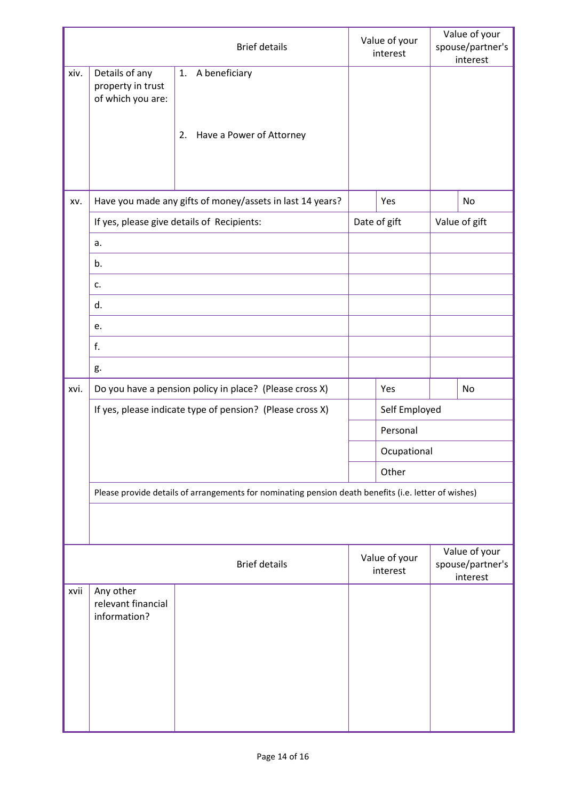|      |                                                          | <b>Brief details</b>                                                                                 | Value of your<br>interest |  | Value of your<br>spouse/partner's<br>interest |
|------|----------------------------------------------------------|------------------------------------------------------------------------------------------------------|---------------------------|--|-----------------------------------------------|
| xiv. | Details of any<br>property in trust<br>of which you are: | A beneficiary<br>1.                                                                                  |                           |  |                                               |
|      |                                                          | Have a Power of Attorney<br>2.                                                                       |                           |  |                                               |
| XV.  |                                                          | Have you made any gifts of money/assets in last 14 years?                                            | Yes                       |  | No                                            |
|      |                                                          | If yes, please give details of Recipients:                                                           | Date of gift              |  | Value of gift                                 |
|      | a.                                                       |                                                                                                      |                           |  |                                               |
|      | b.                                                       |                                                                                                      |                           |  |                                               |
|      | c.                                                       |                                                                                                      |                           |  |                                               |
|      | d.                                                       |                                                                                                      |                           |  |                                               |
|      | e.                                                       |                                                                                                      |                           |  |                                               |
|      | f.                                                       |                                                                                                      |                           |  |                                               |
|      | g.                                                       |                                                                                                      |                           |  |                                               |
| xvi. |                                                          | Do you have a pension policy in place? (Please cross X)                                              | Yes                       |  | No                                            |
|      |                                                          | If yes, please indicate type of pension? (Please cross X)                                            | Self Employed             |  |                                               |
|      |                                                          |                                                                                                      | Personal                  |  |                                               |
|      |                                                          |                                                                                                      | Ocupational               |  |                                               |
|      |                                                          |                                                                                                      | Other                     |  |                                               |
|      |                                                          | Please provide details of arrangements for nominating pension death benefits (i.e. letter of wishes) |                           |  |                                               |
|      |                                                          |                                                                                                      |                           |  |                                               |
|      |                                                          | <b>Brief details</b>                                                                                 | Value of your<br>interest |  | Value of your<br>spouse/partner's<br>interest |
| xvii | Any other<br>relevant financial<br>information?          |                                                                                                      |                           |  |                                               |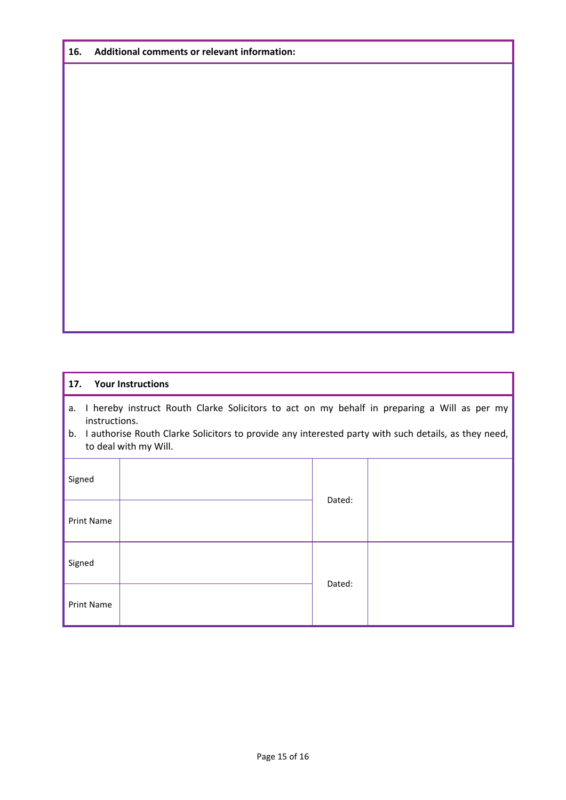| 16. | Additional comments or relevant information: |
|-----|----------------------------------------------|
|-----|----------------------------------------------|

| 17.                                                                                                                                                                                                                                                       | <b>Your Instructions</b> |  |  |  |  |  |
|-----------------------------------------------------------------------------------------------------------------------------------------------------------------------------------------------------------------------------------------------------------|--------------------------|--|--|--|--|--|
| I hereby instruct Routh Clarke Solicitors to act on my behalf in preparing a Will as per my<br>а.<br>instructions.<br>I authorise Routh Clarke Solicitors to provide any interested party with such details, as they need,<br>b.<br>to deal with my Will. |                          |  |  |  |  |  |
| Signed                                                                                                                                                                                                                                                    | Dated:                   |  |  |  |  |  |
| <b>Print Name</b>                                                                                                                                                                                                                                         |                          |  |  |  |  |  |
| Signed                                                                                                                                                                                                                                                    | Dated:                   |  |  |  |  |  |
| <b>Print Name</b>                                                                                                                                                                                                                                         |                          |  |  |  |  |  |